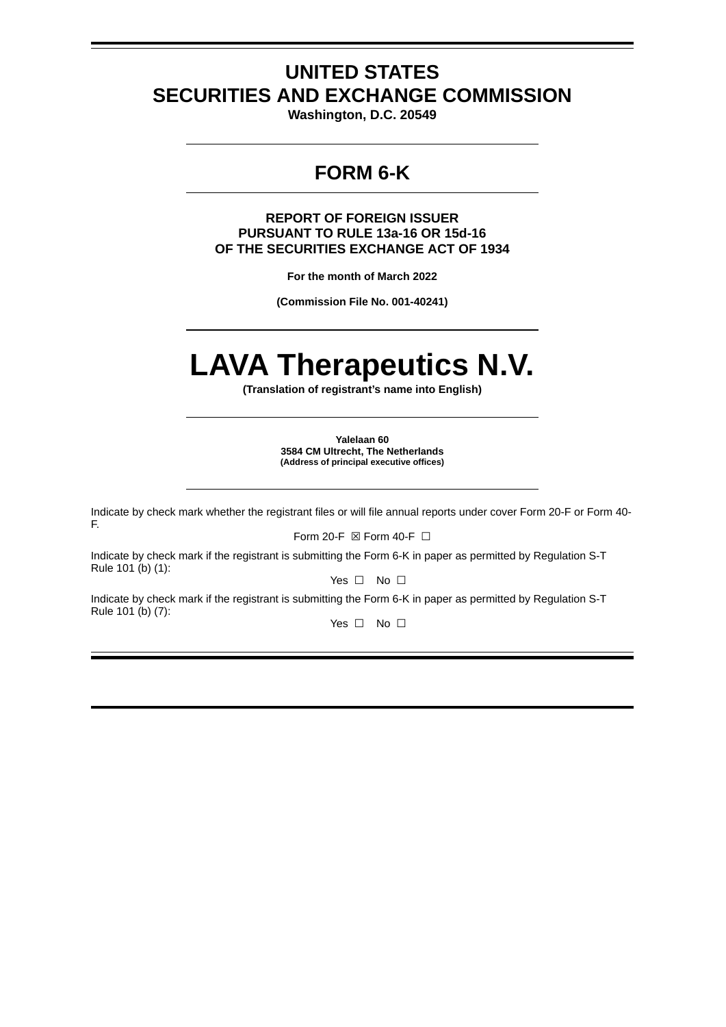# **UNITED STATES SECURITIES AND EXCHANGE COMMISSION**

**Washington, D.C. 20549**

## **FORM 6-K**

**REPORT OF FOREIGN ISSUER PURSUANT TO RULE 13a-16 OR 15d-16 OF THE SECURITIES EXCHANGE ACT OF 1934**

**For the month of March 2022**

**(Commission File No. 001-40241)**

# **LAVA Therapeutics N.V.**

**(Translation of registrant's name into English)**

**Yalelaan 60 3584 CM Ultrecht, The Netherlands (Address of principal executive offices)**

Indicate by check mark whether the registrant files or will file annual reports under cover Form 20-F or Form 40- F.

Form 20-F ⊠ Form 40-F □

Indicate by check mark if the registrant is submitting the Form 6-K in paper as permitted by Regulation S-T Rule 101 (b) (1):

Yes □ No □

Indicate by check mark if the registrant is submitting the Form 6-K in paper as permitted by Regulation S-T Rule 101 (b) (7):

Yes □ No □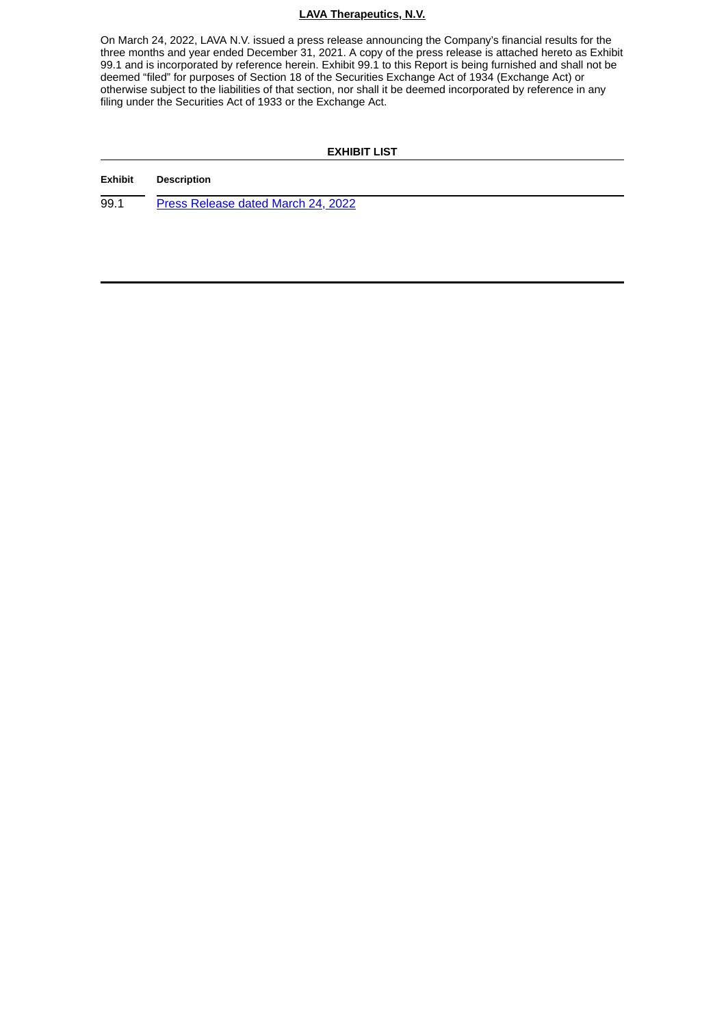#### **LAVA Therapeutics, N.V.**

On March 24, 2022, LAVA N.V. issued a press release announcing the Company's financial results for the three months and year ended December 31, 2021. A copy of the press release is attached hereto as Exhibit 99.1 and is incorporated by reference herein. Exhibit 99.1 to this Report is being furnished and shall not be deemed "filed" for purposes of Section 18 of the Securities Exchange Act of 1934 (Exchange Act) or otherwise subject to the liabilities of that section, nor shall it be deemed incorporated by reference in any filing under the Securities Act of 1933 or the Exchange Act.

#### **EXHIBIT LIST**

#### **Exhibit Description**

99.1 Press [Release](#page-3-0) dated March 24, 2022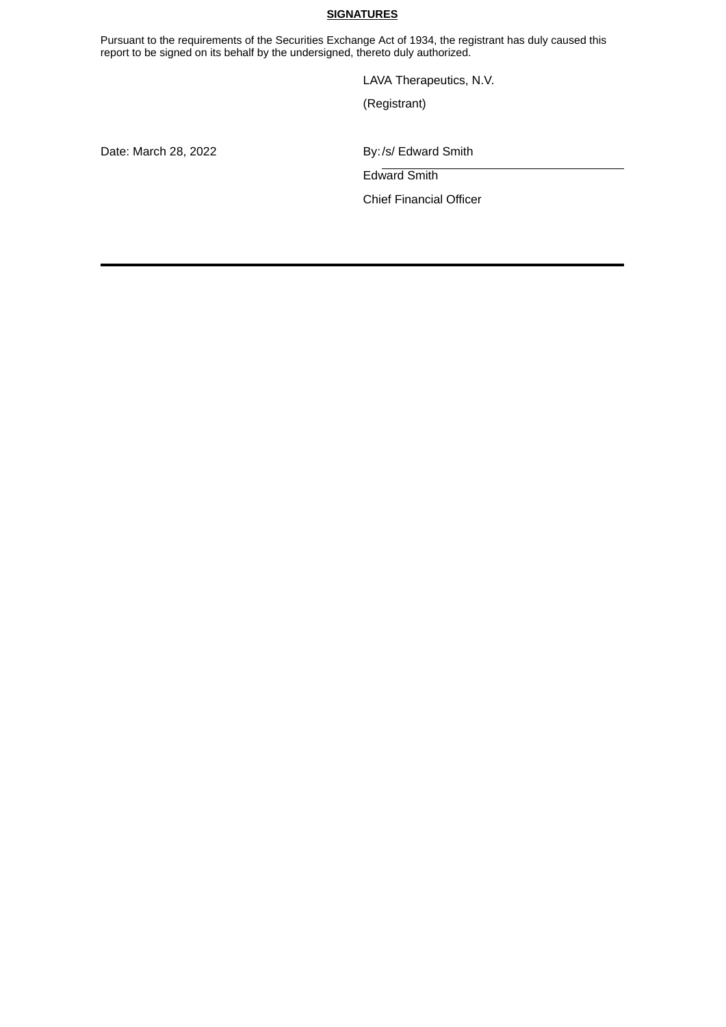#### **SIGNATURES**

Pursuant to the requirements of the Securities Exchange Act of 1934, the registrant has duly caused this report to be signed on its behalf by the undersigned, thereto duly authorized.

LAVA Therapeutics, N.V.

(Registrant)

Date: March 28, 2022 **By:/s/ Edward Smith** 

Edward Smith

Chief Financial Officer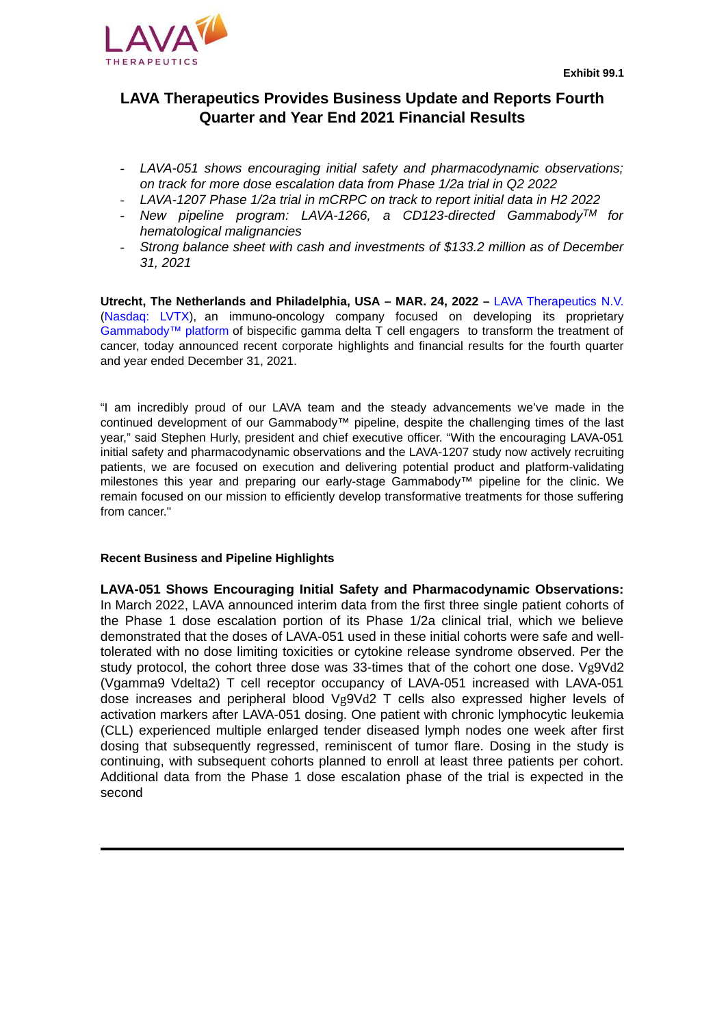

<span id="page-3-0"></span>

## **LAVA Therapeutics Provides Business Update and Reports Fourth Quarter and Year End 2021 Financial Results**

- *- LAVA-051 shows encouraging initial safety and pharmacodynamic observations; on track for more dose escalation data from Phase 1/2a trial in Q2 2022*
- *- LAVA-1207 Phase 1/2a trial in mCRPC on track to report initial data in H2 2022*
- *- New pipeline program: LAVA-1266, a CD123-directed GammabodyTM for hematological malignancies*
- *- Strong balance sheet with cash and investments of \$133.2 million as of December 31, 2021*

**Utrecht, The Netherlands and Philadelphia, USA – MAR. 24, 2022 –** LAVA Therapeutics N.V. (Nasdaq: LVTX), an immuno-oncology company focused on developing its proprietary Gammabody™ platform of bispecific gamma delta T cell engagers to transform the treatment of cancer, today announced recent corporate highlights and financial results for the fourth quarter and year ended December 31, 2021.

"I am incredibly proud of our LAVA team and the steady advancements we've made in the continued development of our Gammabody™ pipeline, despite the challenging times of the last year," said Stephen Hurly, president and chief executive officer. "With the encouraging LAVA-051 initial safety and pharmacodynamic observations and the LAVA-1207 study now actively recruiting patients, we are focused on execution and delivering potential product and platform-validating milestones this year and preparing our early-stage Gammabody™ pipeline for the clinic. We remain focused on our mission to efficiently develop transformative treatments for those suffering from cancer."

#### **Recent Business and Pipeline Highlights**

**LAVA-051 Shows Encouraging Initial Safety and Pharmacodynamic Observations:** In March 2022, LAVA announced interim data from the first three single patient cohorts of the Phase 1 dose escalation portion of its Phase 1/2a clinical trial, which we believe demonstrated that the doses of LAVA-051 used in these initial cohorts were safe and welltolerated with no dose limiting toxicities or cytokine release syndrome observed. Per the study protocol, the cohort three dose was 33-times that of the cohort one dose. Vg9Vd2 (Vgamma9 Vdelta2) T cell receptor occupancy of LAVA-051 increased with LAVA-051 dose increases and peripheral blood Vg9Vd2 T cells also expressed higher levels of activation markers after LAVA-051 dosing. One patient with chronic lymphocytic leukemia (CLL) experienced multiple enlarged tender diseased lymph nodes one week after first dosing that subsequently regressed, reminiscent of tumor flare. Dosing in the study is continuing, with subsequent cohorts planned to enroll at least three patients per cohort. Additional data from the Phase 1 dose escalation phase of the trial is expected in the second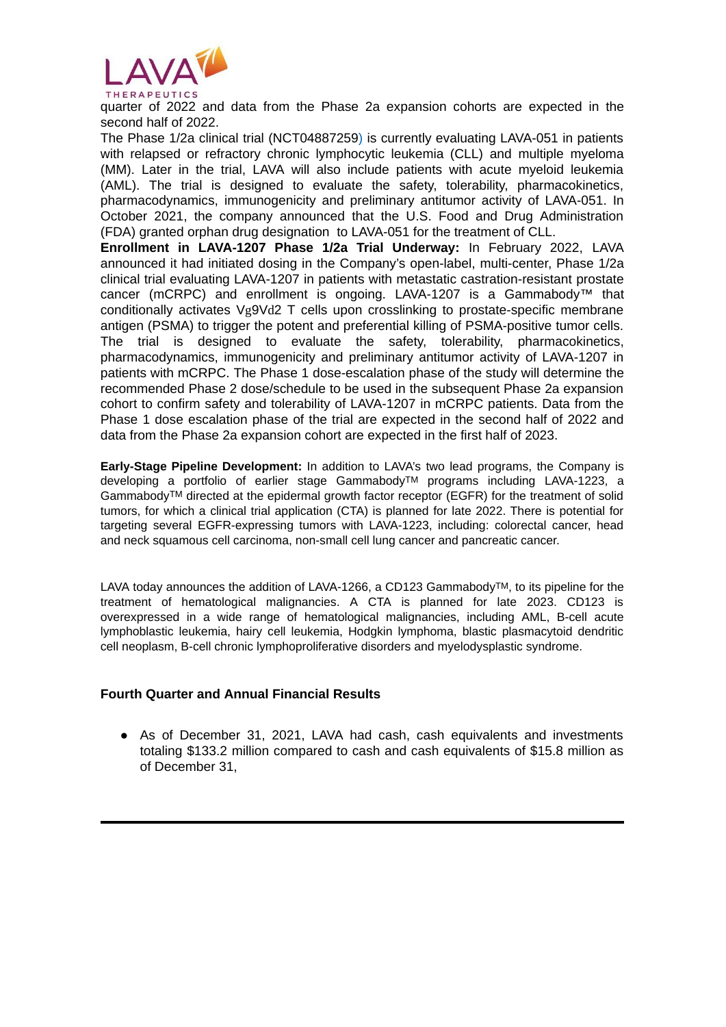

quarter of 2022 and data from the Phase 2a expansion cohorts are expected in the second half of 2022.

The Phase 1/2a clinical trial (NCT04887259) is currently evaluating LAVA-051 in patients with relapsed or refractory chronic lymphocytic leukemia (CLL) and multiple myeloma (MM). Later in the trial, LAVA will also include patients with acute myeloid leukemia (AML). The trial is designed to evaluate the safety, tolerability, pharmacokinetics, pharmacodynamics, immunogenicity and preliminary antitumor activity of LAVA-051. In October 2021, the company announced that the U.S. Food and Drug Administration (FDA) granted orphan drug designation to LAVA-051 for the treatment of CLL.

**Enrollment in LAVA-1207 Phase 1/2a Trial Underway:** In February 2022, LAVA announced it had initiated dosing in the Company's open-label, multi-center, Phase 1/2a clinical trial evaluating LAVA-1207 in patients with metastatic castration-resistant prostate cancer (mCRPC) and enrollment is ongoing. LAVA-1207 is a Gammabody™ that conditionally activates Vg9Vd2 T cells upon crosslinking to prostate-specific membrane antigen (PSMA) to trigger the potent and preferential killing of PSMA-positive tumor cells. The trial is designed to evaluate the safety, tolerability, pharmacokinetics, pharmacodynamics, immunogenicity and preliminary antitumor activity of LAVA-1207 in patients with mCRPC. The Phase 1 dose-escalation phase of the study will determine the recommended Phase 2 dose/schedule to be used in the subsequent Phase 2a expansion cohort to confirm safety and tolerability of LAVA-1207 in mCRPC patients. Data from the Phase 1 dose escalation phase of the trial are expected in the second half of 2022 and data from the Phase 2a expansion cohort are expected in the first half of 2023.

**Early-Stage Pipeline Development:** In addition to LAVA's two lead programs, the Company is developing a portfolio of earlier stage GammabodyTM programs including LAVA-1223, a GammabodyTM directed at the epidermal growth factor receptor (EGFR) for the treatment of solid tumors, for which a clinical trial application (CTA) is planned for late 2022. There is potential for targeting several EGFR-expressing tumors with LAVA-1223, including: colorectal cancer, head and neck squamous cell carcinoma, non-small cell lung cancer and pancreatic cancer.

LAVA today announces the addition of LAVA-1266, a CD123 Gammabody<sup>TM</sup>, to its pipeline for the treatment of hematological malignancies. A CTA is planned for late 2023. CD123 is overexpressed in a wide range of hematological malignancies, including AML, B-cell acute lymphoblastic leukemia, hairy cell leukemia, Hodgkin lymphoma, blastic plasmacytoid dendritic cell neoplasm, B-cell chronic lymphoproliferative disorders and myelodysplastic syndrome.

#### **Fourth Quarter and Annual Financial Results**

• As of December 31, 2021, LAVA had cash, cash equivalents and investments totaling \$133.2 million compared to cash and cash equivalents of \$15.8 million as of December 31,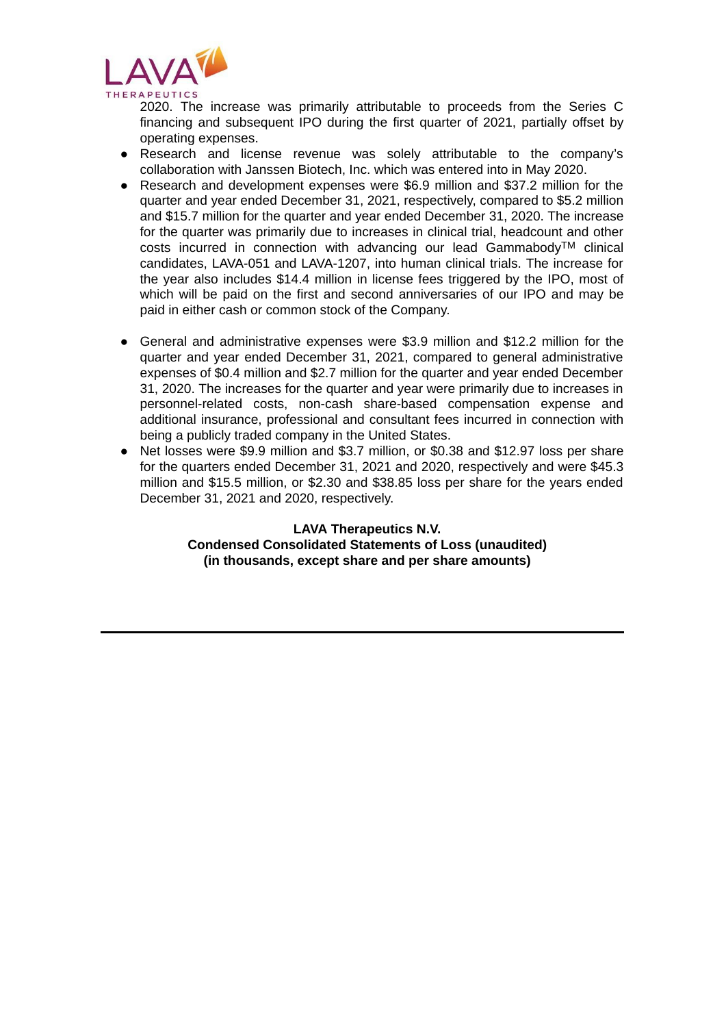

2020. The increase was primarily attributable to proceeds from the Series C financing and subsequent IPO during the first quarter of 2021, partially offset by operating expenses.

- Research and license revenue was solely attributable to the company's collaboration with Janssen Biotech, Inc. which was entered into in May 2020.
- Research and development expenses were \$6.9 million and \$37.2 million for the quarter and year ended December 31, 2021, respectively, compared to \$5.2 million and \$15.7 million for the quarter and year ended December 31, 2020. The increase for the quarter was primarily due to increases in clinical trial, headcount and other costs incurred in connection with advancing our lead GammabodyTM clinical candidates, LAVA-051 and LAVA-1207, into human clinical trials. The increase for the year also includes \$14.4 million in license fees triggered by the IPO, most of which will be paid on the first and second anniversaries of our IPO and may be paid in either cash or common stock of the Company.
- General and administrative expenses were \$3.9 million and \$12.2 million for the quarter and year ended December 31, 2021, compared to general administrative expenses of \$0.4 million and \$2.7 million for the quarter and year ended December 31, 2020. The increases for the quarter and year were primarily due to increases in personnel-related costs, non-cash share-based compensation expense and additional insurance, professional and consultant fees incurred in connection with being a publicly traded company in the United States.
- Net losses were \$9.9 million and \$3.7 million, or \$0.38 and \$12.97 loss per share for the quarters ended December 31, 2021 and 2020, respectively and were \$45.3 million and \$15.5 million, or \$2.30 and \$38.85 loss per share for the years ended December 31, 2021 and 2020, respectively.

#### **LAVA Therapeutics N.V. Condensed Consolidated Statements of Loss (unaudited) (in thousands, except share and per share amounts)**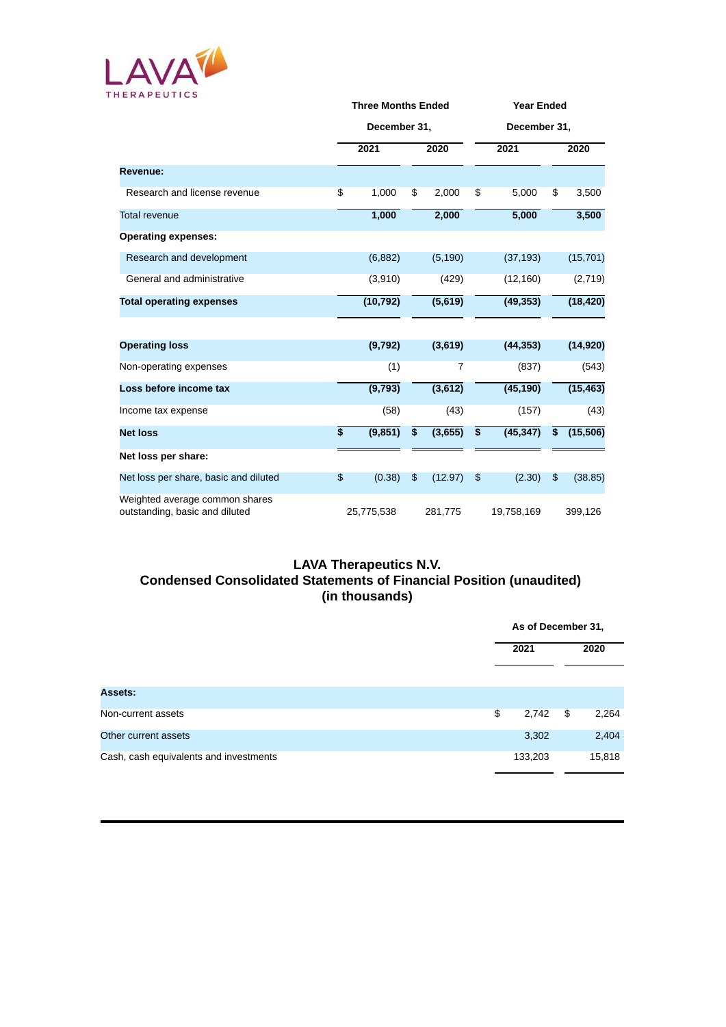

|                                                                  |                 | <b>Three Months Ended</b><br>December 31, |    |                | <b>Year Ended</b> |            |    |           |  |
|------------------------------------------------------------------|-----------------|-------------------------------------------|----|----------------|-------------------|------------|----|-----------|--|
|                                                                  |                 |                                           |    |                | December 31,      |            |    |           |  |
|                                                                  |                 | 2021                                      |    | 2020           |                   | 2021       |    | 2020      |  |
| Revenue:                                                         |                 |                                           |    |                |                   |            |    |           |  |
| Research and license revenue                                     | \$              | 1,000                                     | \$ | 2,000          | \$                | 5,000      | \$ | 3,500     |  |
| <b>Total revenue</b>                                             |                 | 1,000                                     |    | 2,000          |                   | 5,000      |    | 3,500     |  |
| <b>Operating expenses:</b>                                       |                 |                                           |    |                |                   |            |    |           |  |
| Research and development                                         |                 | (6,882)                                   |    | (5, 190)       |                   | (37, 193)  |    | (15, 701) |  |
| General and administrative                                       |                 | (3,910)                                   |    | (429)          |                   | (12, 160)  |    | (2,719)   |  |
| <b>Total operating expenses</b>                                  |                 | (10, 792)                                 |    | (5,619)        |                   | (49, 353)  |    | (18, 420) |  |
|                                                                  |                 |                                           |    |                |                   |            |    |           |  |
| <b>Operating loss</b>                                            |                 | (9,792)                                   |    | (3,619)        |                   | (44, 353)  |    | (14, 920) |  |
| Non-operating expenses                                           |                 | (1)                                       |    | $\overline{7}$ |                   | (837)      |    | (543)     |  |
| Loss before income tax                                           |                 | (9,793)                                   |    | (3,612)        |                   | (45, 190)  |    | (15, 463) |  |
| Income tax expense                                               |                 | (58)                                      |    | (43)           |                   | (157)      |    | (43)      |  |
| <b>Net loss</b>                                                  | $\overline{\$}$ | (9, 851)                                  | \$ | (3,655)        | \$                | (45, 347)  | \$ | (15, 506) |  |
| Net loss per share:                                              |                 |                                           |    |                |                   |            |    |           |  |
| Net loss per share, basic and diluted                            | \$              | (0.38)                                    | \$ | (12.97)        | \$                | (2.30)     | \$ | (38.85)   |  |
| Weighted average common shares<br>outstanding, basic and diluted |                 | 25,775,538                                |    | 281,775        |                   | 19,758,169 |    | 399,126   |  |

### **LAVA Therapeutics N.V. Condensed Consolidated Statements of Financial Position (unaudited) (in thousands)**

|                                        | As of December 31, |    |        |  |
|----------------------------------------|--------------------|----|--------|--|
|                                        | 2021               |    | 2020   |  |
| <b>Assets:</b>                         |                    |    |        |  |
| Non-current assets                     | \$<br>2,742        | \$ | 2,264  |  |
| Other current assets                   | 3,302              |    | 2,404  |  |
| Cash, cash equivalents and investments | 133,203            |    | 15,818 |  |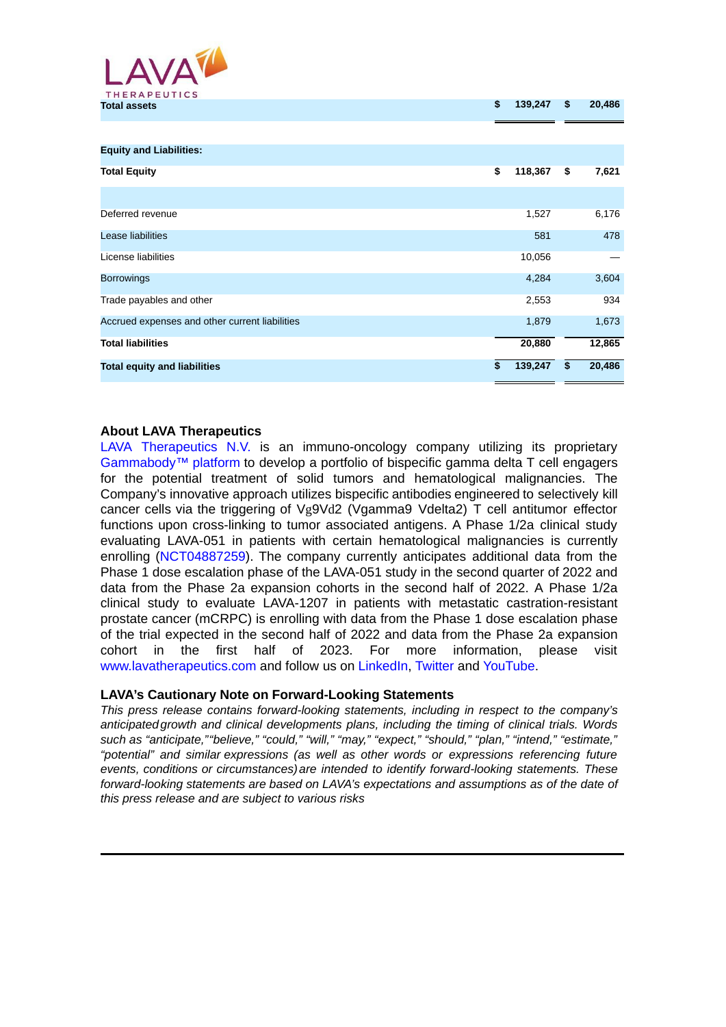

| TULAI ASSULS                                   | Ψ  | 100, 100 | ÷  | $\sim$ |
|------------------------------------------------|----|----------|----|--------|
|                                                |    |          |    |        |
| <b>Equity and Liabilities:</b>                 |    |          |    |        |
| <b>Total Equity</b>                            | \$ | 118,367  | \$ | 7,621  |
|                                                |    |          |    |        |
| Deferred revenue                               |    | 1,527    |    | 6,176  |
| Lease liabilities                              |    | 581      |    | 478    |
| License liabilities                            |    | 10,056   |    |        |
| <b>Borrowings</b>                              |    | 4,284    |    | 3,604  |
| Trade payables and other                       |    | 2,553    |    | 934    |
| Accrued expenses and other current liabilities |    | 1,879    |    | 1,673  |
| <b>Total liabilities</b>                       |    | 20,880   |    | 12,865 |
| <b>Total equity and liabilities</b>            | \$ | 139,247  | \$ | 20,486 |

**Total assets \$ 139,247 \$ 20,486**

#### **About LAVA Therapeutics**

LAVA Therapeutics N.V. is an immuno-oncology company utilizing its proprietary Gammabody™ platform to develop a portfolio of bispecific gamma delta T cell engagers for the potential treatment of solid tumors and hematological malignancies. The Company's innovative approach utilizes bispecific antibodies engineered to selectively kill cancer cells via the triggering of Vg9Vd2 (Vgamma9 Vdelta2) T cell antitumor effector functions upon cross-linking to tumor associated antigens. A Phase 1/2a clinical study evaluating LAVA-051 in patients with certain hematological malignancies is currently enrolling (NCT04887259). The company currently anticipates additional data from the Phase 1 dose escalation phase of the LAVA-051 study in the second quarter of 2022 and data from the Phase 2a expansion cohorts in the second half of 2022. A Phase 1/2a clinical study to evaluate LAVA-1207 in patients with metastatic castration-resistant prostate cancer (mCRPC) is enrolling with data from the Phase 1 dose escalation phase of the trial expected in the second half of 2022 and data from the Phase 2a expansion cohort in the first half of 2023. For more information, please visit www.lavatherapeutics.com and follow us on LinkedIn, Twitter and YouTube.

#### **LAVA's Cautionary Note on Forward-Looking Statements**

*This press release contains forward-looking statements, including in respect to the company's anticipatedgrowth and clinical developments plans, including the timing of clinical trials. Words such as "anticipate,""believe," "could," "will," "may," "expect," "should," "plan," "intend," "estimate," "potential" and similar expressions (as well as other words or expressions referencing future events, conditions or circumstances)are intended to identify forward-looking statements. These forward-looking statements are based on LAVA's expectations and assumptions as of the date of this press release and are subject to various risks*